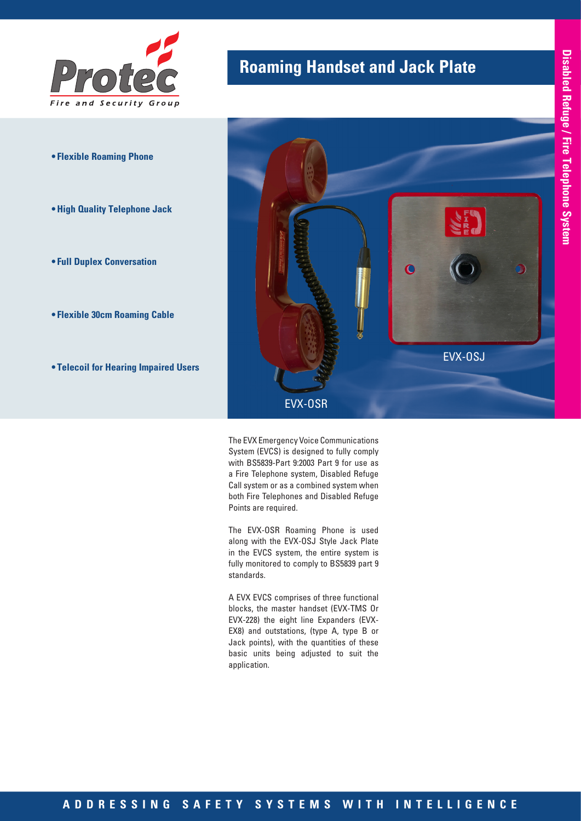

- **• Flexible Roaming Phone**
- **•High Quality Telephone Jack**
- **• Full Duplex Conversation**
- **• Flexible 30cm Roaming Cable**
- **• Telecoil for Hearing Impaired Users**

# **Roaming Handset and Jack Plate**



The EVX Emergency Voice Communications System (EVCS) is designed to fully comply with BS5839-Part 9:2003 Part 9 for use as a Fire Telephone system, Disabled Refuge Call system or as a combined system when both Fire Telephones and Disabled Refuge Points are required.

The EVX-OSR Roaming Phone is used along with the EVX-OSJ Style Jack Plate in the EVCS system, the entire system is fully monitored to comply to BS5839 part 9 standards.

A EVX EVCS comprises of three functional blocks, the master handset (EVX-TMS Or EVX-228) the eight line Expanders (EVX-EX8) and outstations, (type A, type B or Jack points), with the quantities of these basic units being adjusted to suit the application.